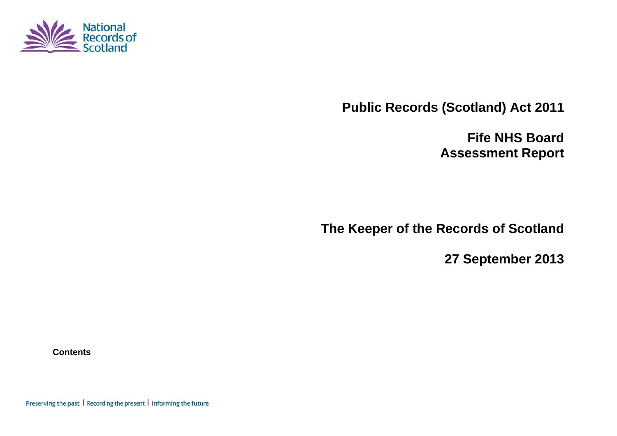

**Public Records (Scotland) Act 2011** 

**Fife NHS Board Assessment Report** 

**The Keeper of the Records of Scotland** 

**27 September 2013** 

**Contents** 

Preserving the past | Recording the present | Informing the future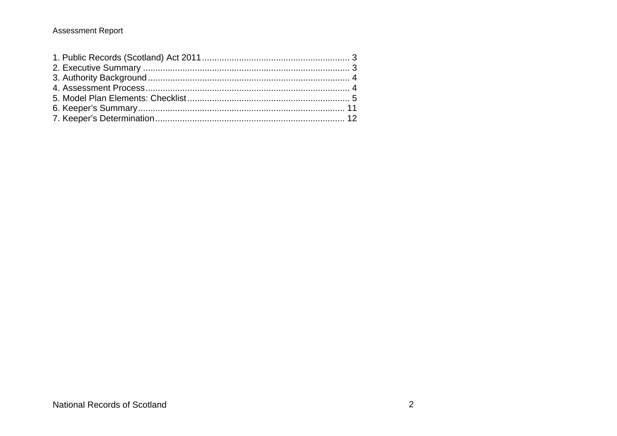### **Assessment Report**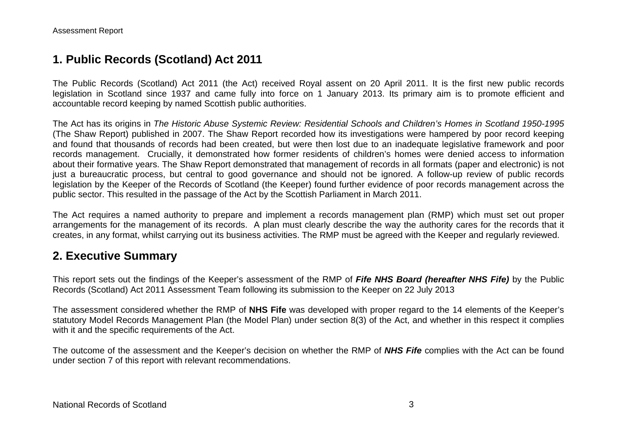# **1. Public Records (Scotland) Act 2011**

The Public Records (Scotland) Act 2011 (the Act) received Royal assent on 20 April 2011. It is the first new public records legislation in Scotland since 1937 and came fully into force on 1 January 2013. Its primary aim is to promote efficient and accountable record keeping by named Scottish public authorities.

The Act has its origins in *The Historic Abuse Systemic Review: Residential Schools and Children's Homes in Scotland 1950-1995* (The Shaw Report) published in 2007. The Shaw Report recorded how its investigations were hampered by poor record keeping and found that thousands of records had been created, but were then lost due to an inadequate legislative framework and poor records management. Crucially, it demonstrated how former residents of children's homes were denied access to information about their formative years. The Shaw Report demonstrated that management of records in all formats (paper and electronic) is not just a bureaucratic process, but central to good governance and should not be ignored. A follow-up review of public records legislation by the Keeper of the Records of Scotland (the Keeper) found further evidence of poor records management across the public sector. This resulted in the passage of the Act by the Scottish Parliament in March 2011.

The Act requires a named authority to prepare and implement a records management plan (RMP) which must set out proper arrangements for the management of its records. A plan must clearly describe the way the authority cares for the records that it creates, in any format, whilst carrying out its business activities. The RMP must be agreed with the Keeper and regularly reviewed.

# **2. Executive Summary**

This report sets out the findings of the Keeper's assessment of the RMP of *Fife NHS Board (hereafter NHS Fife)* by the Public Records (Scotland) Act 2011 Assessment Team following its submission to the Keeper on 22 July 2013

The assessment considered whether the RMP of **NHS Fife** was developed with proper regard to the 14 elements of the Keeper's statutory Model Records Management Plan (the Model Plan) under section 8(3) of the Act, and whether in this respect it complies with it and the specific requirements of the Act.

The outcome of the assessment and the Keeper's decision on whether the RMP of *NHS Fife* complies with the Act can be found under section 7 of this report with relevant recommendations.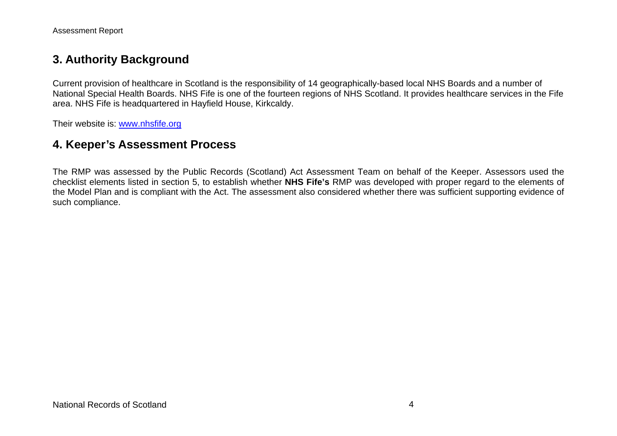## **3. Authority Background**

Current provision of healthcare in Scotland is the responsibility of 14 geographically-based local NHS Boards and a number of National Special Health Boards. NHS Fife is one of the fourteen regions of NHS Scotland. It provides healthcare services in the Fife area. NHS Fife is headquartered in Hayfield House, Kirkcaldy.

Their website is: www.nhsfife.org

## **4. Keeper's Assessment Process**

The RMP was assessed by the Public Records (Scotland) Act Assessment Team on behalf of the Keeper. Assessors used the checklist elements listed in section 5, to establish whether **NHS Fife's** RMP was developed with proper regard to the elements of the Model Plan and is compliant with the Act. The assessment also considered whether there was sufficient supporting evidence of such compliance.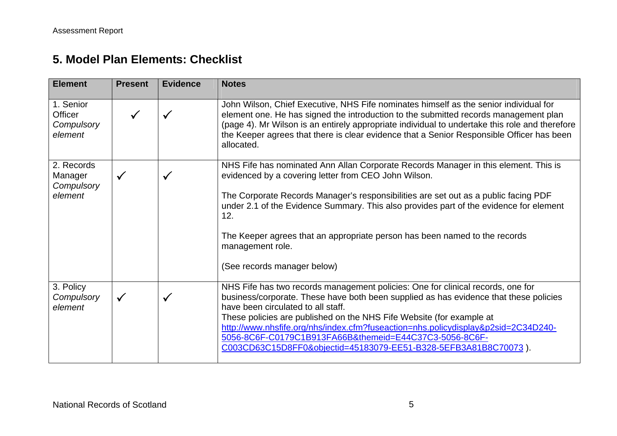# **5. Model Plan Elements: Checklist**

| <b>Element</b>                                | <b>Present</b> | <b>Evidence</b> | <b>Notes</b>                                                                                                                                                                                                                                                                                                                                                                                                                                                                                             |
|-----------------------------------------------|----------------|-----------------|----------------------------------------------------------------------------------------------------------------------------------------------------------------------------------------------------------------------------------------------------------------------------------------------------------------------------------------------------------------------------------------------------------------------------------------------------------------------------------------------------------|
| 1. Senior<br>Officer<br>Compulsory<br>element |                | $\checkmark$    | John Wilson, Chief Executive, NHS Fife nominates himself as the senior individual for<br>element one. He has signed the introduction to the submitted records management plan<br>(page 4). Mr Wilson is an entirely appropriate individual to undertake this role and therefore<br>the Keeper agrees that there is clear evidence that a Senior Responsible Officer has been<br>allocated.                                                                                                               |
| 2. Records<br>Manager<br>Compulsory           | $\checkmark$   | $\checkmark$    | NHS Fife has nominated Ann Allan Corporate Records Manager in this element. This is<br>evidenced by a covering letter from CEO John Wilson.                                                                                                                                                                                                                                                                                                                                                              |
| element                                       |                |                 | The Corporate Records Manager's responsibilities are set out as a public facing PDF<br>under 2.1 of the Evidence Summary. This also provides part of the evidence for element<br>12.                                                                                                                                                                                                                                                                                                                     |
|                                               |                |                 | The Keeper agrees that an appropriate person has been named to the records<br>management role.                                                                                                                                                                                                                                                                                                                                                                                                           |
|                                               |                |                 | (See records manager below)                                                                                                                                                                                                                                                                                                                                                                                                                                                                              |
| 3. Policy<br>Compulsory<br>element            | $\checkmark$   | $\checkmark$    | NHS Fife has two records management policies: One for clinical records, one for<br>business/corporate. These have both been supplied as has evidence that these policies<br>have been circulated to all staff.<br>These policies are published on the NHS Fife Website (for example at<br>http://www.nhsfife.org/nhs/index.cfm?fuseaction=nhs.policydisplay&p2sid=2C34D240-<br>5056-8C6F-C0179C1B913FA66B&themeid=E44C37C3-5056-8C6F-<br>C003CD63C15D8FF0&objectid=45183079-EE51-B328-5EFB3A81B8C70073). |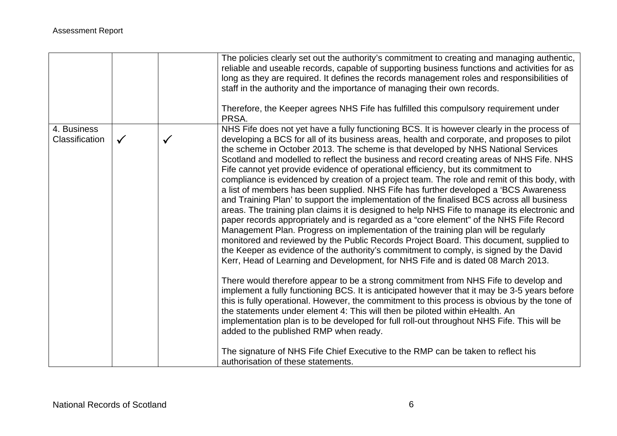| NHS Fife does not yet have a fully functioning BCS. It is however clearly in the process of<br>4. Business<br>developing a BCS for all of its business areas, health and corporate, and proposes to pilot<br>Classification<br>$\checkmark$<br>✓<br>the scheme in October 2013. The scheme is that developed by NHS National Services<br>Scotland and modelled to reflect the business and record creating areas of NHS Fife. NHS<br>Fife cannot yet provide evidence of operational efficiency, but its commitment to<br>compliance is evidenced by creation of a project team. The role and remit of this body, with<br>a list of members has been supplied. NHS Fife has further developed a 'BCS Awareness'<br>and Training Plan' to support the implementation of the finalised BCS across all business<br>areas. The training plan claims it is designed to help NHS Fife to manage its electronic and<br>paper records appropriately and is regarded as a "core element" of the NHS Fife Record<br>Management Plan. Progress on implementation of the training plan will be regularly<br>monitored and reviewed by the Public Records Project Board. This document, supplied to<br>the Keeper as evidence of the authority's commitment to comply, is signed by the David<br>Kerr, Head of Learning and Development, for NHS Fife and is dated 08 March 2013.<br>There would therefore appear to be a strong commitment from NHS Fife to develop and<br>implement a fully functioning BCS. It is anticipated however that it may be 3-5 years before<br>this is fully operational. However, the commitment to this process is obvious by the tone of<br>the statements under element 4: This will then be piloted within eHealth. An<br>implementation plan is to be developed for full roll-out throughout NHS Fife. This will be<br>added to the published RMP when ready. |  | The policies clearly set out the authority's commitment to creating and managing authentic,<br>reliable and useable records, capable of supporting business functions and activities for as<br>long as they are required. It defines the records management roles and responsibilities of<br>staff in the authority and the importance of managing their own records.<br>Therefore, the Keeper agrees NHS Fife has fulfilled this compulsory requirement under<br>PRSA. |
|-------------------------------------------------------------------------------------------------------------------------------------------------------------------------------------------------------------------------------------------------------------------------------------------------------------------------------------------------------------------------------------------------------------------------------------------------------------------------------------------------------------------------------------------------------------------------------------------------------------------------------------------------------------------------------------------------------------------------------------------------------------------------------------------------------------------------------------------------------------------------------------------------------------------------------------------------------------------------------------------------------------------------------------------------------------------------------------------------------------------------------------------------------------------------------------------------------------------------------------------------------------------------------------------------------------------------------------------------------------------------------------------------------------------------------------------------------------------------------------------------------------------------------------------------------------------------------------------------------------------------------------------------------------------------------------------------------------------------------------------------------------------------------------------------------------------------------------------------------------------------------------|--|-------------------------------------------------------------------------------------------------------------------------------------------------------------------------------------------------------------------------------------------------------------------------------------------------------------------------------------------------------------------------------------------------------------------------------------------------------------------------|
|                                                                                                                                                                                                                                                                                                                                                                                                                                                                                                                                                                                                                                                                                                                                                                                                                                                                                                                                                                                                                                                                                                                                                                                                                                                                                                                                                                                                                                                                                                                                                                                                                                                                                                                                                                                                                                                                                     |  |                                                                                                                                                                                                                                                                                                                                                                                                                                                                         |
| The signature of NHS Fife Chief Executive to the RMP can be taken to reflect his<br>authorisation of these statements.                                                                                                                                                                                                                                                                                                                                                                                                                                                                                                                                                                                                                                                                                                                                                                                                                                                                                                                                                                                                                                                                                                                                                                                                                                                                                                                                                                                                                                                                                                                                                                                                                                                                                                                                                              |  |                                                                                                                                                                                                                                                                                                                                                                                                                                                                         |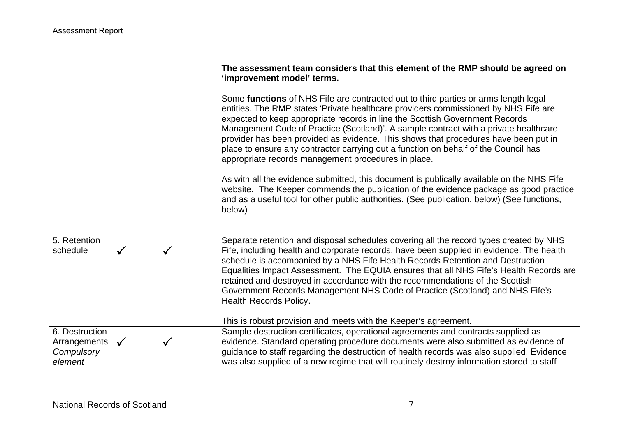|                                                         |              |              | The assessment team considers that this element of the RMP should be agreed on<br>'improvement model' terms.                                                                                                                                                                                                                                                                                                                                                                                                                                                                            |
|---------------------------------------------------------|--------------|--------------|-----------------------------------------------------------------------------------------------------------------------------------------------------------------------------------------------------------------------------------------------------------------------------------------------------------------------------------------------------------------------------------------------------------------------------------------------------------------------------------------------------------------------------------------------------------------------------------------|
|                                                         |              |              | Some functions of NHS Fife are contracted out to third parties or arms length legal<br>entities. The RMP states 'Private healthcare providers commissioned by NHS Fife are<br>expected to keep appropriate records in line the Scottish Government Records<br>Management Code of Practice (Scotland)'. A sample contract with a private healthcare<br>provider has been provided as evidence. This shows that procedures have been put in<br>place to ensure any contractor carrying out a function on behalf of the Council has<br>appropriate records management procedures in place. |
|                                                         |              |              | As with all the evidence submitted, this document is publically available on the NHS Fife<br>website. The Keeper commends the publication of the evidence package as good practice<br>and as a useful tool for other public authorities. (See publication, below) (See functions,<br>below)                                                                                                                                                                                                                                                                                             |
| 5. Retention<br>schedule                                | $\checkmark$ | $\checkmark$ | Separate retention and disposal schedules covering all the record types created by NHS<br>Fife, including health and corporate records, have been supplied in evidence. The health<br>schedule is accompanied by a NHS Fife Health Records Retention and Destruction<br>Equalities Impact Assessment. The EQUIA ensures that all NHS Fife's Health Records are<br>retained and destroyed in accordance with the recommendations of the Scottish<br>Government Records Management NHS Code of Practice (Scotland) and NHS Fife's<br><b>Health Records Policy.</b>                        |
|                                                         |              |              | This is robust provision and meets with the Keeper's agreement.                                                                                                                                                                                                                                                                                                                                                                                                                                                                                                                         |
| 6. Destruction<br>Arrangements<br>Compulsory<br>element | $\checkmark$ | ✓            | Sample destruction certificates, operational agreements and contracts supplied as<br>evidence. Standard operating procedure documents were also submitted as evidence of<br>guidance to staff regarding the destruction of health records was also supplied. Evidence<br>was also supplied of a new regime that will routinely destroy information stored to staff                                                                                                                                                                                                                      |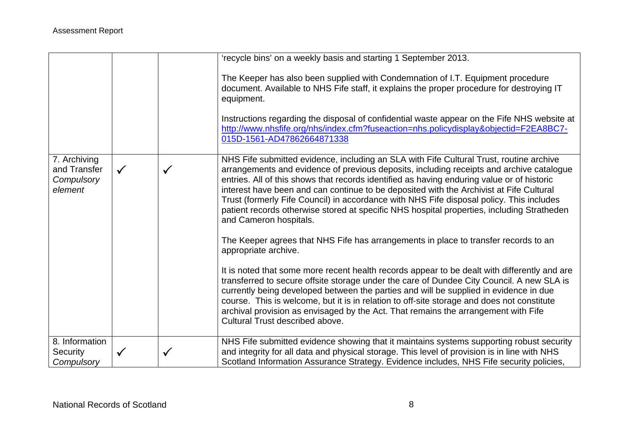|                                                       |              |              | 'recycle bins' on a weekly basis and starting 1 September 2013.                                                                                                                                                                                                                                                                                                                                                                                                                                                                                                                                  |
|-------------------------------------------------------|--------------|--------------|--------------------------------------------------------------------------------------------------------------------------------------------------------------------------------------------------------------------------------------------------------------------------------------------------------------------------------------------------------------------------------------------------------------------------------------------------------------------------------------------------------------------------------------------------------------------------------------------------|
|                                                       |              |              | The Keeper has also been supplied with Condemnation of I.T. Equipment procedure<br>document. Available to NHS Fife staff, it explains the proper procedure for destroying IT<br>equipment.<br>Instructions regarding the disposal of confidential waste appear on the Fife NHS website at<br>http://www.nhsfife.org/nhs/index.cfm?fuseaction=nhs.policydisplay&objectid=F2EA8BC7-<br>015D-1561-AD47862664871338                                                                                                                                                                                  |
| 7. Archiving<br>and Transfer<br>Compulsory<br>element | $\checkmark$ | $\checkmark$ | NHS Fife submitted evidence, including an SLA with Fife Cultural Trust, routine archive<br>arrangements and evidence of previous deposits, including receipts and archive catalogue<br>entries. All of this shows that records identified as having enduring value or of historic<br>interest have been and can continue to be deposited with the Archivist at Fife Cultural<br>Trust (formerly Fife Council) in accordance with NHS Fife disposal policy. This includes<br>patient records otherwise stored at specific NHS hospital properties, including Stratheden<br>and Cameron hospitals. |
|                                                       |              |              | The Keeper agrees that NHS Fife has arrangements in place to transfer records to an<br>appropriate archive.                                                                                                                                                                                                                                                                                                                                                                                                                                                                                      |
|                                                       |              |              | It is noted that some more recent health records appear to be dealt with differently and are<br>transferred to secure offsite storage under the care of Dundee City Council. A new SLA is<br>currently being developed between the parties and will be supplied in evidence in due<br>course. This is welcome, but it is in relation to off-site storage and does not constitute<br>archival provision as envisaged by the Act. That remains the arrangement with Fife<br>Cultural Trust described above.                                                                                        |
| 8. Information<br>Security<br>Compulsory              | $\checkmark$ | $\checkmark$ | NHS Fife submitted evidence showing that it maintains systems supporting robust security<br>and integrity for all data and physical storage. This level of provision is in line with NHS<br>Scotland Information Assurance Strategy. Evidence includes, NHS Fife security policies,                                                                                                                                                                                                                                                                                                              |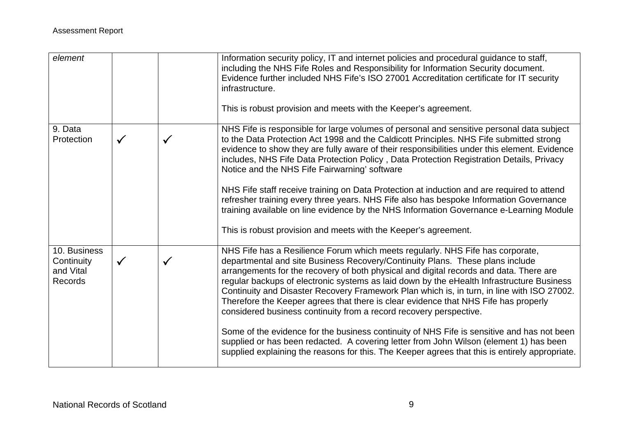| element                                            |              |              | Information security policy, IT and internet policies and procedural guidance to staff,<br>including the NHS Fife Roles and Responsibility for Information Security document.<br>Evidence further included NHS Fife's ISO 27001 Accreditation certificate for IT security<br>infrastructure.<br>This is robust provision and meets with the Keeper's agreement.                                                                                                                                                                                                                                                                                                                                                                                                                                                                                                                                             |
|----------------------------------------------------|--------------|--------------|-------------------------------------------------------------------------------------------------------------------------------------------------------------------------------------------------------------------------------------------------------------------------------------------------------------------------------------------------------------------------------------------------------------------------------------------------------------------------------------------------------------------------------------------------------------------------------------------------------------------------------------------------------------------------------------------------------------------------------------------------------------------------------------------------------------------------------------------------------------------------------------------------------------|
| 9. Data<br>Protection                              | $\checkmark$ | $\checkmark$ | NHS Fife is responsible for large volumes of personal and sensitive personal data subject<br>to the Data Protection Act 1998 and the Caldicott Principles. NHS Fife submitted strong<br>evidence to show they are fully aware of their responsibilities under this element. Evidence<br>includes, NHS Fife Data Protection Policy, Data Protection Registration Details, Privacy<br>Notice and the NHS Fife Fairwarning' software<br>NHS Fife staff receive training on Data Protection at induction and are required to attend<br>refresher training every three years. NHS Fife also has bespoke Information Governance<br>training available on line evidence by the NHS Information Governance e-Learning Module<br>This is robust provision and meets with the Keeper's agreement.                                                                                                                     |
| 10. Business<br>Continuity<br>and Vital<br>Records | $\checkmark$ | $\checkmark$ | NHS Fife has a Resilience Forum which meets regularly. NHS Fife has corporate,<br>departmental and site Business Recovery/Continuity Plans. These plans include<br>arrangements for the recovery of both physical and digital records and data. There are<br>regular backups of electronic systems as laid down by the eHealth Infrastructure Business<br>Continuity and Disaster Recovery Framework Plan which is, in turn, in line with ISO 27002.<br>Therefore the Keeper agrees that there is clear evidence that NHS Fife has properly<br>considered business continuity from a record recovery perspective.<br>Some of the evidence for the business continuity of NHS Fife is sensitive and has not been<br>supplied or has been redacted. A covering letter from John Wilson (element 1) has been<br>supplied explaining the reasons for this. The Keeper agrees that this is entirely appropriate. |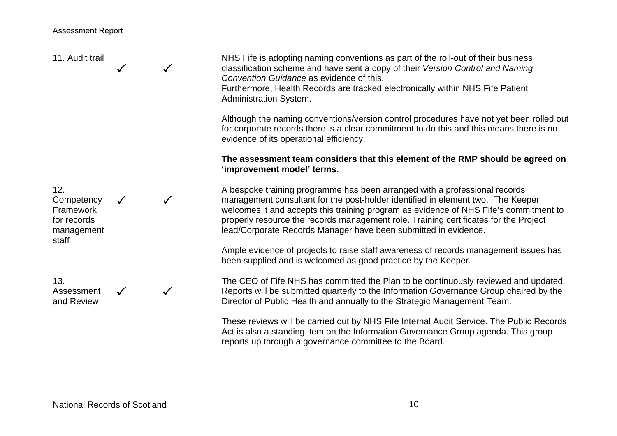| 11. Audit trail                                                      | $\checkmark$ | √            | NHS Fife is adopting naming conventions as part of the roll-out of their business<br>classification scheme and have sent a copy of their Version Control and Naming<br>Convention Guidance as evidence of this.<br>Furthermore, Health Records are tracked electronically within NHS Fife Patient<br><b>Administration System.</b><br>Although the naming conventions/version control procedures have not yet been rolled out<br>for corporate records there is a clear commitment to do this and this means there is no<br>evidence of its operational efficiency.<br>The assessment team considers that this element of the RMP should be agreed on<br>'improvement model' terms. |
|----------------------------------------------------------------------|--------------|--------------|-------------------------------------------------------------------------------------------------------------------------------------------------------------------------------------------------------------------------------------------------------------------------------------------------------------------------------------------------------------------------------------------------------------------------------------------------------------------------------------------------------------------------------------------------------------------------------------------------------------------------------------------------------------------------------------|
| 12.<br>Competency<br>Framework<br>for records<br>management<br>staff | $\checkmark$ |              | A bespoke training programme has been arranged with a professional records<br>management consultant for the post-holder identified in element two. The Keeper<br>welcomes it and accepts this training program as evidence of NHS Fife's commitment to<br>properly resource the records management role. Training certificates for the Project<br>lead/Corporate Records Manager have been submitted in evidence.<br>Ample evidence of projects to raise staff awareness of records management issues has<br>been supplied and is welcomed as good practice by the Keeper.                                                                                                          |
| 13.<br>Assessment<br>and Review                                      | $\checkmark$ | $\checkmark$ | The CEO of Fife NHS has committed the Plan to be continuously reviewed and updated.<br>Reports will be submitted quarterly to the Information Governance Group chaired by the<br>Director of Public Health and annually to the Strategic Management Team.<br>These reviews will be carried out by NHS Fife Internal Audit Service. The Public Records<br>Act is also a standing item on the Information Governance Group agenda. This group<br>reports up through a governance committee to the Board.                                                                                                                                                                              |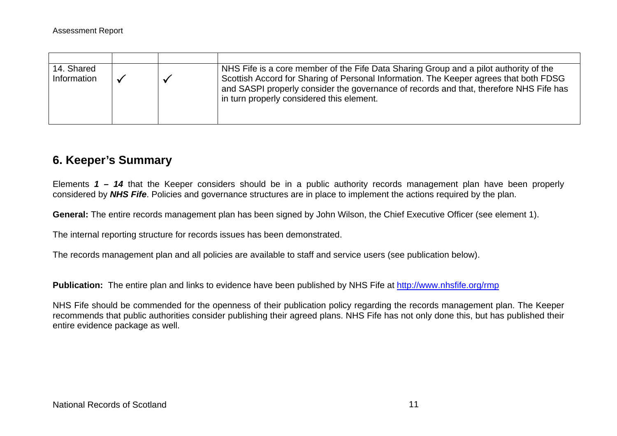| 14. Shared<br>Information |  | NHS Fife is a core member of the Fife Data Sharing Group and a pilot authority of the<br>Scottish Accord for Sharing of Personal Information. The Keeper agrees that both FDSG<br>and SASPI properly consider the governance of records and that, therefore NHS Fife has<br>in turn properly considered this element. |
|---------------------------|--|-----------------------------------------------------------------------------------------------------------------------------------------------------------------------------------------------------------------------------------------------------------------------------------------------------------------------|

## **6. Keeper's Summary**

Elements *1 – 14* that the Keeper considers should be in a public authority records management plan have been properly considered by *NHS Fife*. Policies and governance structures are in place to implement the actions required by the plan.

**General:** The entire records management plan has been signed by John Wilson, the Chief Executive Officer (see element 1).

The internal reporting structure for records issues has been demonstrated.

The records management plan and all policies are available to staff and service users (see publication below).

**Publication:** The entire plan and links to evidence have been published by NHS Fife at http://www.nhsfife.org/rmp

NHS Fife should be commended for the openness of their publication policy regarding the records management plan. The Keeper recommends that public authorities consider publishing their agreed plans. NHS Fife has not only done this, but has published their entire evidence package as well.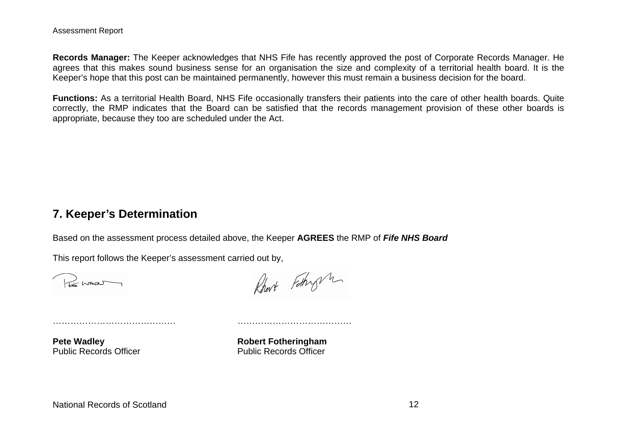**Records Manager:** The Keeper acknowledges that NHS Fife has recently approved the post of Corporate Records Manager. He agrees that this makes sound business sense for an organisation the size and complexity of a territorial health board. It is the Keeper's hope that this post can be maintained permanently, however this must remain a business decision for the board.

**Functions:** As a territorial Health Board, NHS Fife occasionally transfers their patients into the care of other health boards. Quite correctly, the RMP indicates that the Board can be satisfied that the records management provision of these other boards is appropriate, because they too are scheduled under the Act.

### **7. Keeper's Determination**

Based on the assessment process detailed above, the Keeper **AGREES** the RMP of *Fife NHS Board*

This report follows the Keeper's assessment carried out by,

…………………………………… …………………………………

Promot

Robert Fothy m

**Pete Wadley Community Community Robert Fotheringham** Public Records Officer **Public Records Officer**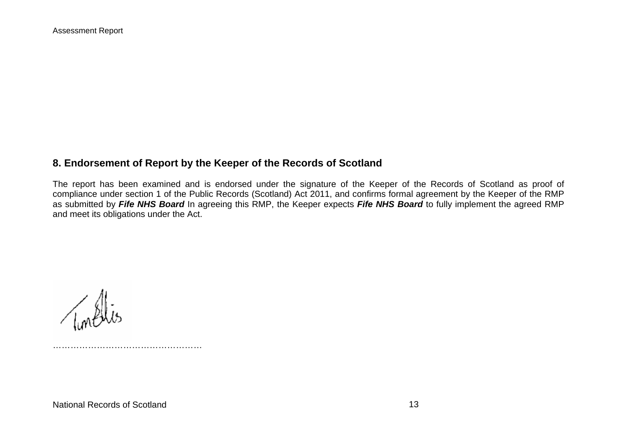### **8. Endorsement of Report by the Keeper of the Records of Scotland**

The report has been examined and is endorsed under the signature of the Keeper of the Records of Scotland as proof of compliance under section 1 of the Public Records (Scotland) Act 2011, and confirms formal agreement by the Keeper of the RMP as submitted by *Fife NHS Board* In agreeing this RMP, the Keeper expects *Fife NHS Board* to fully implement the agreed RMP and meet its obligations under the Act.

National Records of Scotland 13

……………………………………………